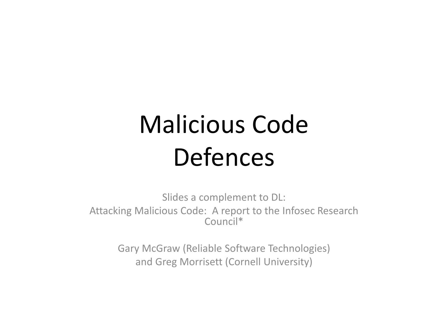## Malicious Code Defences

Slides a complement to DL: Attacking Malicious Code: A report to the Infosec Research Council\*

> Gary McGraw (Reliable Software Technologies) and Greg Morrisett (Cornell University)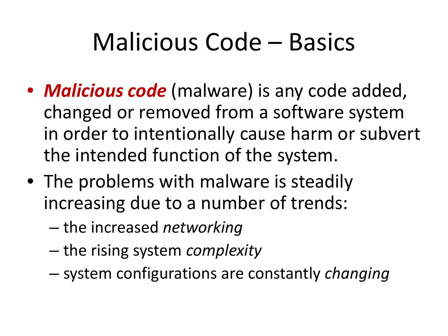## Malicious Code – Basics

- *Malicious code* (malware) is any code added, changed or removed from a software system in order to intentionally cause harm or subvert the intended function of the system.
- The problems with malware is steadily increasing due to a number of trends:
	- the increased *networking*
	- the rising system *complexity*
	- system configurations are constantly *changing*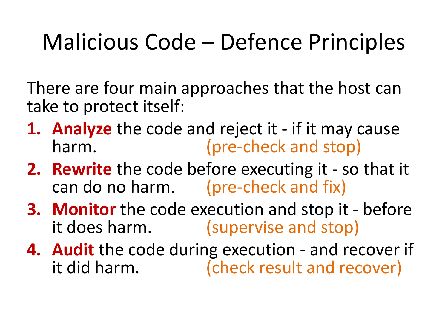#### Malicious Code – Defence Principles

There are four main approaches that the host can take to protect itself:

- **1. Analyze** the code and reject it if it may cause harm. (pre-check and stop)
- **2. Rewrite** the code before executing it so that it can do no harm. (pre-check and fix)
- **3. Monitor** the code execution and stop it before it does harm. (supervise and stop)
- **4. Audit** the code during execution and recover if it did harm. (check result and recover)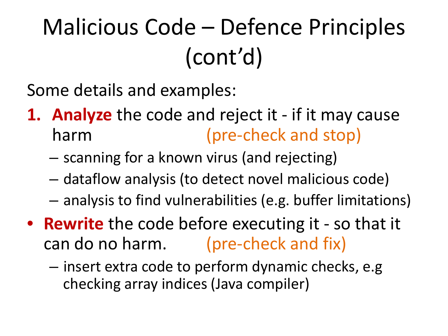### Malicious Code – Defence Principles (cont'd)

Some details and examples:

- **1. Analyze** the code and reject it if it may cause harm (pre-check and stop)
	- scanning for a known virus (and rejecting)
	- dataflow analysis (to detect novel malicious code)
	- analysis to find vulnerabilities (e.g. buffer limitations)
- **Rewrite** the code before executing it so that it can do no harm. (pre-check and fix)
	- insert extra code to perform dynamic checks, e.g checking array indices (Java compiler)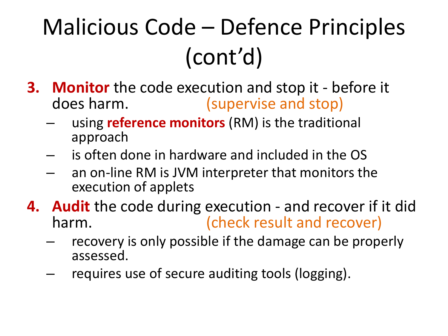## Malicious Code – Defence Principles (cont'd)

- **3. Monitor** the code execution and stop it before it does harm. (supervise and stop)
	- using **reference monitors** (RM) is the traditional approach
	- is often done in hardware and included in the OS
	- an on-line RM is JVM interpreter that monitors the execution of applets
- **4. Audit** the code during execution and recover if it did harm. (check result and recover)
	- recovery is only possible if the damage can be properly assessed.
	- requires use of secure auditing tools (logging).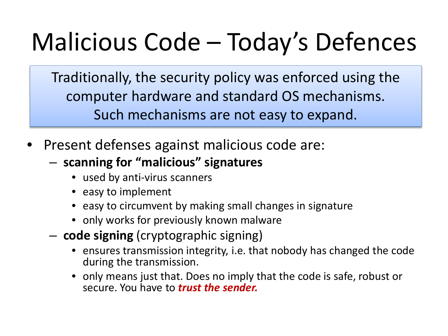# Malicious Code – Today's Defences

Traditionally, the security policy was enforced using the computer hardware and standard OS mechanisms. Such mechanisms are not easy to expand.

- Present defenses against malicious code are:
	- **scanning for "malicious" signatures**
		- used by anti-virus scanners
		- easy to implement
		- easy to circumvent by making small changes in signature
		- only works for previously known malware
	- **code signing** (cryptographic signing)
		- ensures transmission integrity, i.e. that nobody has changed the code during the transmission.
		- only means just that. Does no imply that the code is safe, robust or secure. You have to *trust the sender.*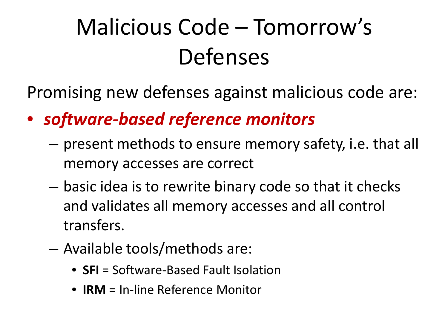### Malicious Code – Tomorrow's Defenses

Promising new defenses against malicious code are:

#### • *software-based reference monitors*

- present methods to ensure memory safety, i.e. that all memory accesses are correct
- basic idea is to rewrite binary code so that it checks and validates all memory accesses and all control transfers.
- Available tools/methods are:
	- **SFI** = Software-Based Fault Isolation
	- **IRM** = In-line Reference Monitor